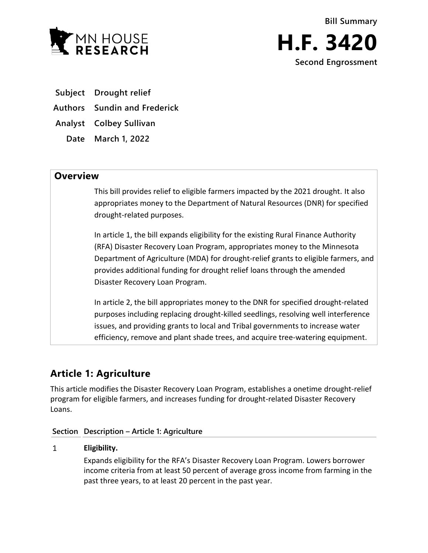

**Subject Drought relief**

**Authors Sundin and Frederick**

**Analyst Colbey Sullivan**

**Date March 1, 2022**

## **Overview**

This bill provides relief to eligible farmers impacted by the 2021 drought. It also appropriates money to the Department of Natural Resources (DNR) for specified drought-related purposes.

In article 1, the bill expands eligibility for the existing Rural Finance Authority (RFA) Disaster Recovery Loan Program, appropriates money to the Minnesota Department of Agriculture (MDA) for drought-relief grants to eligible farmers, and provides additional funding for drought relief loans through the amended Disaster Recovery Loan Program.

In article 2, the bill appropriates money to the DNR for specified drought-related purposes including replacing drought-killed seedlings, resolving well interference issues, and providing grants to local and Tribal governments to increase water efficiency, remove and plant shade trees, and acquire tree-watering equipment.

# **Article 1: Agriculture**

This article modifies the Disaster Recovery Loan Program, establishes a onetime drought-relief program for eligible farmers, and increases funding for drought-related Disaster Recovery Loans.

### **Section Description – Article 1: Agriculture**

#### $\mathbf{1}$ **Eligibility.**

Expands eligibility for the RFA's Disaster Recovery Loan Program. Lowers borrower income criteria from at least 50 percent of average gross income from farming in the past three years, to at least 20 percent in the past year.